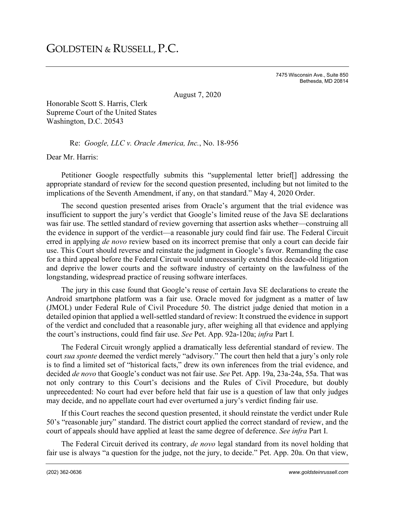7475 Wisconsin Ave., Suite 850 Bethesda, MD 20814

August 7, 2020

Honorable Scott S. Harris, Clerk Supreme Court of the United States Washington, D.C. 20543

Re: *Google, LLC v. Oracle America, Inc.*, No. 18-956

Dear Mr. Harris:

Petitioner Google respectfully submits this "supplemental letter brief[] addressing the appropriate standard of review for the second question presented, including but not limited to the implications of the Seventh Amendment, if any, on that standard." May 4, 2020 Order.

The second question presented arises from Oracle's argument that the trial evidence was insufficient to support the jury's verdict that Google's limited reuse of the Java SE declarations was fair use. The settled standard of review governing that assertion asks whether—construing all the evidence in support of the verdict—a reasonable jury could find fair use. The Federal Circuit erred in applying *de novo* review based on its incorrect premise that only a court can decide fair use. This Court should reverse and reinstate the judgment in Google's favor. Remanding the case for a third appeal before the Federal Circuit would unnecessarily extend this decade-old litigation and deprive the lower courts and the software industry of certainty on the lawfulness of the longstanding, widespread practice of reusing software interfaces.

The jury in this case found that Google's reuse of certain Java SE declarations to create the Android smartphone platform was a fair use. Oracle moved for judgment as a matter of law (JMOL) under Federal Rule of Civil Procedure 50. The district judge denied that motion in a detailed opinion that applied a well-settled standard of review: It construed the evidence in support of the verdict and concluded that a reasonable jury, after weighing all that evidence and applying the court's instructions, could find fair use. *See* Pet. App. 92a-120a; *infra* Part I.

The Federal Circuit wrongly applied a dramatically less deferential standard of review. The court *sua sponte* deemed the verdict merely "advisory." The court then held that a jury's only role is to find a limited set of "historical facts," drew its own inferences from the trial evidence, and decided *de novo* that Google's conduct was not fair use. *See* Pet. App. 19a, 23a-24a, 55a. That was not only contrary to this Court's decisions and the Rules of Civil Procedure, but doubly unprecedented: No court had ever before held that fair use is a question of law that only judges may decide, and no appellate court had ever overturned a jury's verdict finding fair use.

If this Court reaches the second question presented, it should reinstate the verdict under Rule 50's "reasonable jury" standard. The district court applied the correct standard of review, and the court of appeals should have applied at least the same degree of deference. *See infra* Part I.

The Federal Circuit derived its contrary, *de novo* legal standard from its novel holding that fair use is always "a question for the judge, not the jury, to decide." Pet. App. 20a. On that view,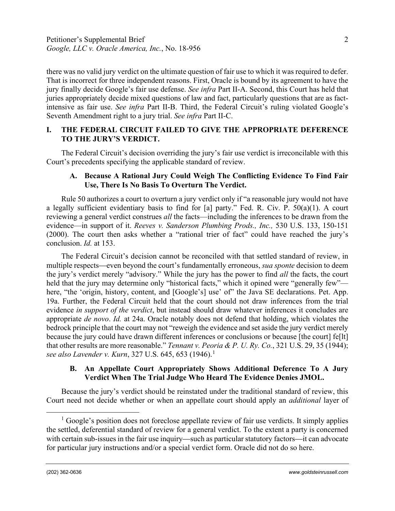there was no valid jury verdict on the ultimate question of fair use to which it was required to defer. That is incorrect for three independent reasons. First, Oracle is bound by its agreement to have the jury finally decide Google's fair use defense. *See infra* Part II-A. Second, this Court has held that juries appropriately decide mixed questions of law and fact, particularly questions that are as factintensive as fair use. *See infra* Part II-B. Third, the Federal Circuit's ruling violated Google's Seventh Amendment right to a jury trial. *See infra* Part II-C.

# **I. THE FEDERAL CIRCUIT FAILED TO GIVE THE APPROPRIATE DEFERENCE TO THE JURY'S VERDICT.**

The Federal Circuit's decision overriding the jury's fair use verdict is irreconcilable with this Court's precedents specifying the applicable standard of review.

## **A. Because A Rational Jury Could Weigh The Conflicting Evidence To Find Fair Use, There Is No Basis To Overturn The Verdict.**

Rule 50 authorizes a court to overturn a jury verdict only if "a reasonable jury would not have a legally sufficient evidentiary basis to find for [a] party." Fed. R. Civ. P. 50(a)(1). A court reviewing a general verdict construes *all* the facts—including the inferences to be drawn from the evidence—in support of it. *Reeves v. Sanderson Plumbing Prods., Inc.,* 530 U.S. 133, 150-151 (2000). The court then asks whether a "rational trier of fact" could have reached the jury's conclusion. *Id.* at 153.

The Federal Circuit's decision cannot be reconciled with that settled standard of review, in multiple respects—even beyond the court's fundamentally erroneous, *sua sponte* decision to deem the jury's verdict merely "advisory." While the jury has the power to find *all* the facts, the court held that the jury may determine only "historical facts," which it opined were "generally few" here, "the 'origin, history, content, and [Google's] use' of "the Java SE declarations. Pet. App. 19a. Further, the Federal Circuit held that the court should not draw inferences from the trial evidence *in support of the verdict*, but instead should draw whatever inferences it concludes are appropriate *de novo*. *Id.* at 24a. Oracle notably does not defend that holding, which violates the bedrock principle that the court may not "reweigh the evidence and set aside the jury verdict merely because the jury could have drawn different inferences or conclusions or because [the court] fe[lt] that other results are more reasonable." *Tennant v. Peoria & P. U. Ry. Co.*, 321 U.S. 29, 35 (1944); *see also Lavender v. Kurn,* 327 U.S. 645, 653 ([1](#page-1-0)946).<sup>1</sup>

## **B. An Appellate Court Appropriately Shows Additional Deference To A Jury Verdict When The Trial Judge Who Heard The Evidence Denies JMOL.**

Because the jury's verdict should be reinstated under the traditional standard of review, this Court need not decide whether or when an appellate court should apply an *additional* layer of

<span id="page-1-0"></span><sup>&</sup>lt;sup>1</sup> Google's position does not foreclose appellate review of fair use verdicts. It simply applies the settled, deferential standard of review for a general verdict. To the extent a party is concerned with certain sub-issues in the fair use inquiry—such as particular statutory factors—it can advocate for particular jury instructions and/or a special verdict form. Oracle did not do so here.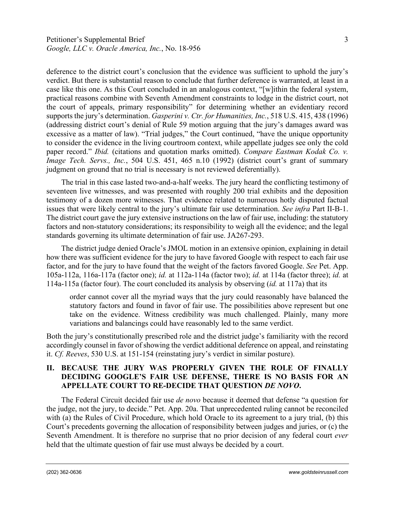deference to the district court's conclusion that the evidence was sufficient to uphold the jury's verdict. But there is substantial reason to conclude that further deference is warranted, at least in a case like this one. As this Court concluded in an analogous context, "[w]ithin the federal system, practical reasons combine with Seventh Amendment constraints to lodge in the district court, not the court of appeals, primary responsibility" for determining whether an evidentiary record supports the jury's determination. *Gasperini v. Ctr. for Humanities, Inc.*, 518 U.S. 415, 438 (1996) (addressing district court's denial of Rule 59 motion arguing that the jury's damages award was excessive as a matter of law). "Trial judges," the Court continued, "have the unique opportunity to consider the evidence in the living courtroom context, while appellate judges see only the cold paper record." *Ibid.* (citations and quotation marks omitted). *Compare Eastman Kodak Co. v. Image Tech. Servs., Inc.*, 504 U.S. 451, 465 n.10 (1992) (district court's grant of summary

The trial in this case lasted two-and-a-half weeks. The jury heard the conflicting testimony of seventeen live witnesses, and was presented with roughly 200 trial exhibits and the deposition testimony of a dozen more witnesses. That evidence related to numerous hotly disputed factual issues that were likely central to the jury's ultimate fair use determination. *See infra* Part II-B-1. The district court gave the jury extensive instructions on the law of fair use, including: the statutory factors and non-statutory considerations; its responsibility to weigh all the evidence; and the legal standards governing its ultimate determination of fair use. JA267-293.

judgment on ground that no trial is necessary is not reviewed deferentially).

The district judge denied Oracle's JMOL motion in an extensive opinion, explaining in detail how there was sufficient evidence for the jury to have favored Google with respect to each fair use factor, and for the jury to have found that the weight of the factors favored Google. *See* Pet. App. 105a-112a, 116a-117a (factor one); *id.* at 112a-114a (factor two); *id.* at 114a (factor three); *id.* at 114a-115a (factor four). The court concluded its analysis by observing (*id.* at 117a) that its

order cannot cover all the myriad ways that the jury could reasonably have balanced the statutory factors and found in favor of fair use. The possibilities above represent but one take on the evidence. Witness credibility was much challenged. Plainly, many more variations and balancings could have reasonably led to the same verdict.

Both the jury's constitutionally prescribed role and the district judge's familiarity with the record accordingly counsel in favor of showing the verdict additional deference on appeal, and reinstating it. *Cf. Reeves*, 530 U.S. at 151-154 (reinstating jury's verdict in similar posture).

# **II. BECAUSE THE JURY WAS PROPERLY GIVEN THE ROLE OF FINALLY DECIDING GOOGLE'S FAIR USE DEFENSE, THERE IS NO BASIS FOR AN APPELLATE COURT TO RE-DECIDE THAT QUESTION** *DE NOVO***.**

The Federal Circuit decided fair use *de novo* because it deemed that defense "a question for the judge, not the jury, to decide." Pet. App. 20a. That unprecedented ruling cannot be reconciled with (a) the Rules of Civil Procedure, which hold Oracle to its agreement to a jury trial, (b) this Court's precedents governing the allocation of responsibility between judges and juries, or (c) the Seventh Amendment. It is therefore no surprise that no prior decision of any federal court *ever* held that the ultimate question of fair use must always be decided by a court.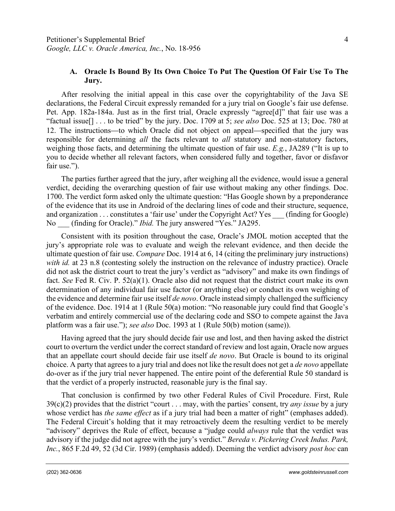## **A. Oracle Is Bound By Its Own Choice To Put The Question Of Fair Use To The Jury.**

After resolving the initial appeal in this case over the copyrightability of the Java SE declarations, the Federal Circuit expressly remanded for a jury trial on Google's fair use defense. Pet. App. 182a-184a. Just as in the first trial, Oracle expressly "agree<sup>[d]</sup>" that fair use was a "factual issue[] . . . to be tried" by the jury. Doc. 1709 at 5; *see also* Doc. 525 at 13; Doc. 780 at 12. The instructions—to which Oracle did not object on appeal—specified that the jury was responsible for determining *all* the facts relevant to *all* statutory and non-statutory factors, weighing those facts, and determining the ultimate question of fair use. *E.g.*, JA289 ("It is up to you to decide whether all relevant factors, when considered fully and together, favor or disfavor fair use.").

The parties further agreed that the jury, after weighing all the evidence, would issue a general verdict, deciding the overarching question of fair use without making any other findings. Doc. 1700. The verdict form asked only the ultimate question: "Has Google shown by a preponderance of the evidence that its use in Android of the declaring lines of code and their structure, sequence, and organization . . . constitutes a 'fair use' under the Copyright Act? Yes (finding for Google) No \_\_\_ (finding for Oracle)." *Ibid.* The jury answered "Yes." JA295.

Consistent with its position throughout the case, Oracle's JMOL motion accepted that the jury's appropriate role was to evaluate and weigh the relevant evidence, and then decide the ultimate question of fair use. *Compare* Doc. 1914 at 6, 14 (citing the preliminary jury instructions) with id. at 23 n.8 (contesting solely the instruction on the relevance of industry practice). Oracle did not ask the district court to treat the jury's verdict as "advisory" and make its own findings of fact. *See* Fed R. Civ. P. 52(a)(1). Oracle also did not request that the district court make its own determination of any individual fair use factor (or anything else) or conduct its own weighing of the evidence and determine fair use itself *de novo*. Oracle instead simply challenged the sufficiency of the evidence. Doc. 1914 at 1 (Rule 50(a) motion: "No reasonable jury could find that Google's verbatim and entirely commercial use of the declaring code and SSO to compete against the Java platform was a fair use."); *see also* Doc. 1993 at 1 (Rule 50(b) motion (same)).

Having agreed that the jury should decide fair use and lost, and then having asked the district court to overturn the verdict under the correct standard of review and lost again, Oracle now argues that an appellate court should decide fair use itself *de novo*. But Oracle is bound to its original choice. A party that agrees to a jury trial and does not like the result does not get a *de novo* appellate do-over as if the jury trial never happened. The entire point of the deferential Rule 50 standard is that the verdict of a properly instructed, reasonable jury is the final say.

That conclusion is confirmed by two other Federal Rules of Civil Procedure. First, Rule 39(c)(2) provides that the district "court . . . may, with the parties' consent, try *any issue* by a jury whose verdict has *the same effect* as if a jury trial had been a matter of right" (emphases added). The Federal Circuit's holding that it may retroactively deem the resulting verdict to be merely "advisory" deprives the Rule of effect, because a "judge could *always* rule that the verdict was advisory if the judge did not agree with the jury's verdict." *Bereda v. Pickering Creek Indus. Park, Inc.*, 865 F.2d 49, 52 (3d Cir. 1989) (emphasis added). Deeming the verdict advisory *post hoc* can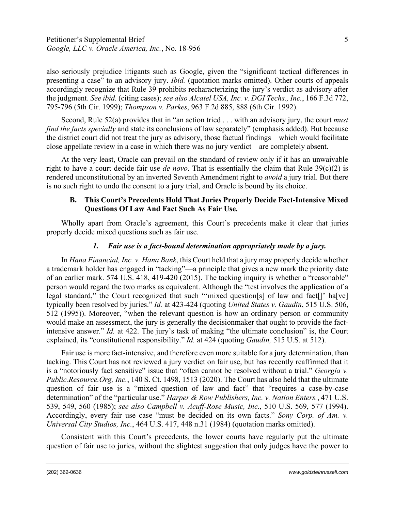also seriously prejudice litigants such as Google, given the "significant tactical differences in presenting a case" to an advisory jury. *Ibid.* (quotation marks omitted). Other courts of appeals accordingly recognize that Rule 39 prohibits recharacterizing the jury's verdict as advisory after the judgment. *See ibid.* (citing cases); *see also Alcatel USA, Inc. v. DGI Techs., Inc.*, 166 F.3d 772, 795-796 (5th Cir. 1999); *Thompson v. Parkes*, 963 F.2d 885, 888 (6th Cir. 1992).

Second, Rule 52(a) provides that in "an action tried . . . with an advisory jury, the court *must find the facts specially* and state its conclusions of law separately" (emphasis added). But because the district court did not treat the jury as advisory, those factual findings—which would facilitate close appellate review in a case in which there was no jury verdict—are completely absent.

At the very least, Oracle can prevail on the standard of review only if it has an unwaivable right to have a court decide fair use *de novo*. That is essentially the claim that Rule 39(c)(2) is rendered unconstitutional by an inverted Seventh Amendment right to *avoid* a jury trial. But there is no such right to undo the consent to a jury trial, and Oracle is bound by its choice.

# **B. This Court's Precedents Hold That Juries Properly Decide Fact-Intensive Mixed Questions Of Law And Fact Such As Fair Use.**

Wholly apart from Oracle's agreement, this Court's precedents make it clear that juries properly decide mixed questions such as fair use.

# *1. Fair use is a fact-bound determination appropriately made by a jury.*

In *Hana Financial, Inc. v. Hana Bank*, this Court held that a jury may properly decide whether a trademark holder has engaged in "tacking"—a principle that gives a new mark the priority date of an earlier mark. 574 U.S. 418, 419-420 (2015). The tacking inquiry is whether a "reasonable" person would regard the two marks as equivalent. Although the "test involves the application of a legal standard," the Court recognized that such "'mixed question[s] of law and fact[]' ha[ve] typically been resolved by juries." *Id.* at 423-424 (quoting *United States v. Gaudin*, 515 U.S. 506, 512 (1995)). Moreover, "when the relevant question is how an ordinary person or community would make an assessment, the jury is generally the decisionmaker that ought to provide the factintensive answer." *Id.* at 422. The jury's task of making "the ultimate conclusion" is, the Court explained, its "constitutional responsibility." *Id.* at 424 (quoting *Gaudin,* 515 U.S. at 512).

Fair use is more fact-intensive, and therefore even more suitable for a jury determination, than tacking. This Court has not reviewed a jury verdict on fair use, but has recently reaffirmed that it is a "notoriously fact sensitive" issue that "often cannot be resolved without a trial." *Georgia v. Public.Resource.Org, Inc.*, 140 S. Ct. 1498, 1513 (2020). The Court has also held that the ultimate question of fair use is a "mixed question of law and fact" that "requires a case-by-case determination" of the "particular use." *Harper & Row Publishers, Inc. v. Nation Enters.*, 471 U.S. 539, 549, 560 (1985); *see also Campbell v. Acuff-Rose Music, Inc.*, 510 U.S. 569, 577 (1994). Accordingly, every fair use case "must be decided on its own facts." *Sony Corp. of Am. v. Universal City Studios, Inc.*, 464 U.S. 417, 448 n.31 (1984) (quotation marks omitted).

Consistent with this Court's precedents, the lower courts have regularly put the ultimate question of fair use to juries, without the slightest suggestion that only judges have the power to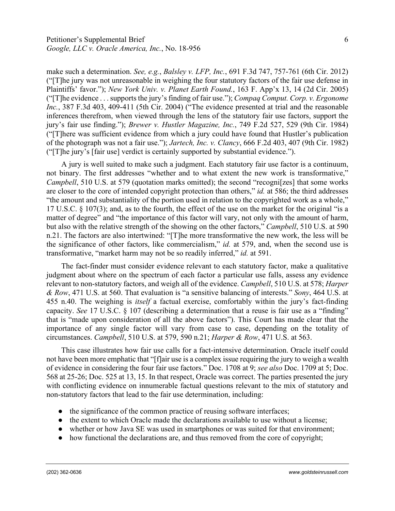make such a determination. *See, e.g.*, *Balsley v. LFP, Inc.*, 691 F.3d 747, 757-761 (6th Cir. 2012) ("[T]he jury was not unreasonable in weighing the four statutory factors of the fair use defense in Plaintiffs' favor."); *New York Univ. v. Planet Earth Found.*, 163 F. App'x 13, 14 (2d Cir. 2005) ("[T]he evidence . . . supports the jury's finding of fair use."); *Compaq Comput. Corp. v. Ergonome Inc.*, 387 F.3d 403, 409-411 (5th Cir. 2004) ("The evidence presented at trial and the reasonable inferences therefrom, when viewed through the lens of the statutory fair use factors, support the jury's fair use finding."); *Brewer v. Hustler Magazine, Inc.*, 749 F.2d 527, 529 (9th Cir. 1984) ("[T]here was sufficient evidence from which a jury could have found that Hustler's publication of the photograph was not a fair use."); *Jartech, Inc. v. Clancy*, 666 F.2d 403, 407 (9th Cir. 1982) ("[T]he jury's [fair use] verdict is certainly supported by substantial evidence.").

A jury is well suited to make such a judgment. Each statutory fair use factor is a continuum, not binary. The first addresses "whether and to what extent the new work is transformative," *Campbell*, 510 U.S. at 579 (quotation marks omitted); the second "recogni[zes] that some works are closer to the core of intended copyright protection than others," *id.* at 586; the third addresses "the amount and substantiality of the portion used in relation to the copyrighted work as a whole," 17 U.S.C. § 107(3); and, as to the fourth, the effect of the use on the market for the original "is a matter of degree" and "the importance of this factor will vary, not only with the amount of harm, but also with the relative strength of the showing on the other factors," *Campbell*, 510 U.S. at 590 n.21. The factors are also intertwined: "[T]he more transformative the new work, the less will be the significance of other factors, like commercialism," *id.* at 579, and, when the second use is transformative, "market harm may not be so readily inferred," *id.* at 591.

The fact-finder must consider evidence relevant to each statutory factor, make a qualitative judgment about where on the spectrum of each factor a particular use falls, assess any evidence relevant to non-statutory factors, and weigh all of the evidence. *Campbell*, 510 U.S. at 578; *Harper & Row*, 471 U.S. at 560. That evaluation is "a sensitive balancing of interests." *Sony*, 464 U.S. at 455 n.40. The weighing is *itself* a factual exercise, comfortably within the jury's fact-finding capacity. *See* 17 U.S.C. § 107 (describing a determination that a reuse is fair use as a "finding" that is "made upon consideration of all the above factors"). This Court has made clear that the importance of any single factor will vary from case to case, depending on the totality of circumstances. *Campbell*, 510 U.S. at 579, 590 n.21; *Harper & Row*, 471 U.S. at 563.

This case illustrates how fair use calls for a fact-intensive determination. Oracle itself could not have been more emphatic that "[f]air use is a complex issue requiring the jury to weigh a wealth of evidence in considering the four fair use factors." Doc. 1708 at 9; *see also* Doc. 1709 at 5; Doc. 568 at 25-26; Doc. 525 at 13, 15. In that respect, Oracle was correct. The parties presented the jury with conflicting evidence on innumerable factual questions relevant to the mix of statutory and non-statutory factors that lead to the fair use determination, including:

- the significance of the common practice of reusing software interfaces;
- the extent to which Oracle made the declarations available to use without a license;
- whether or how Java SE was used in smartphones or was suited for that environment;
- how functional the declarations are, and thus removed from the core of copyright;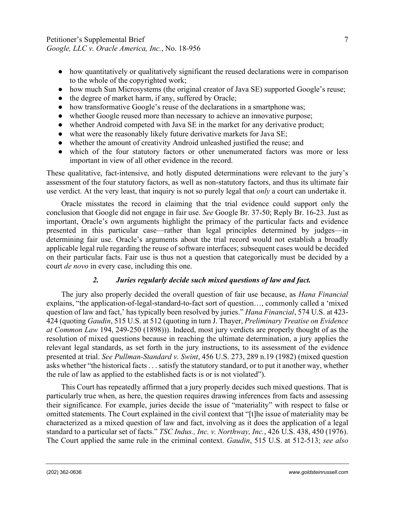- how quantitatively or qualitatively significant the reused declarations were in comparison to the whole of the copyrighted work;
- how much Sun Microsystems (the original creator of Java SE) supported Google's reuse;
- the degree of market harm, if any, suffered by Oracle;
- how transformative Google's reuse of the declarations in a smartphone was;
- whether Google reused more than necessary to achieve an innovative purpose;
- whether Android competed with Java SE in the market for any derivative product;
- what were the reasonably likely future derivative markets for Java SE;
- whether the amount of creativity Android unleashed justified the reuse; and
- which of the four statutory factors or other unenumerated factors was more or less important in view of all other evidence in the record.

These qualitative, fact-intensive, and hotly disputed determinations were relevant to the jury's assessment of the four statutory factors, as well as non-statutory factors, and thus its ultimate fair use verdict. At the very least, that inquiry is not so purely legal that *only* a court can undertake it.

Oracle misstates the record in claiming that the trial evidence could support only the conclusion that Google did not engage in fair use. *See* Google Br. 37-50; Reply Br. 16-23. Just as important, Oracle's own arguments highlight the primacy of the particular facts and evidence presented in this particular case—rather than legal principles determined by judges—in determining fair use. Oracle's arguments about the trial record would not establish a broadly applicable legal rule regarding the reuse of software interfaces; subsequent cases would be decided on their particular facts. Fair use is thus not a question that categorically must be decided by a court *de novo* in every case, including this one.

# *2. Juries regularly decide such mixed questions of law and fact.*

The jury also properly decided the overall question of fair use because, as *Hana Financial* explains, "the application-of-legal-standard-to-fact sort of question…, commonly called a 'mixed question of law and fact,' has typically been resolved by juries." *Hana Financial*, 574 U.S. at 423- 424 (quoting *Gaudin*, 515 U.S. at 512 (quoting in turn J. Thayer, *Preliminary Treatise on Evidence at Common Law* 194, 249-250 (1898))). Indeed, most jury verdicts are properly thought of as the resolution of mixed questions because in reaching the ultimate determination, a jury applies the relevant legal standards, as set forth in the jury instructions, to its assessment of the evidence presented at trial. *See Pullman-Standard v. Swint*, 456 U.S. 273, 289 n.19 (1982) (mixed question asks whether "the historical facts . . . satisfy the statutory standard, or to put it another way, whether the rule of law as applied to the established facts is or is not violated").

This Court has repeatedly affirmed that a jury properly decides such mixed questions. That is particularly true when, as here, the question requires drawing inferences from facts and assessing their significance. For example, juries decide the issue of "materiality" with respect to false or omitted statements. The Court explained in the civil context that "[t]he issue of materiality may be characterized as a mixed question of law and fact, involving as it does the application of a legal standard to a particular set of facts." *TSC Indus., Inc. v. Northway, Inc.*, 426 U.S. 438, 450 (1976). The Court applied the same rule in the criminal context. *Gaudin*, 515 U.S. at 512-513; *see also*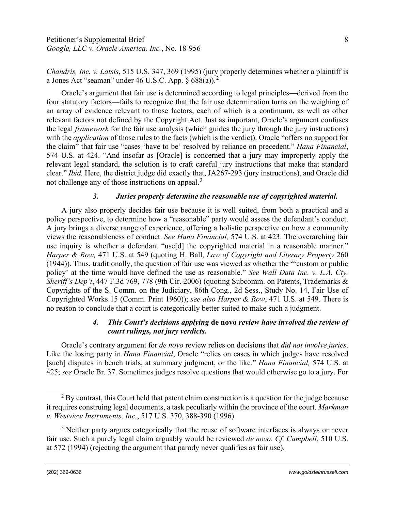*Chandris, Inc. v. Latsis*, 515 U.S. 347, 369 (1995) (jury properly determines whether a plaintiff is a Jones Act "seaman" under 46 U.S.C. App.  $\S 688(a)$ .<sup>[2](#page-7-0)</sup>

Oracle's argument that fair use is determined according to legal principles—derived from the four statutory factors—fails to recognize that the fair use determination turns on the weighing of an array of evidence relevant to those factors, each of which is a continuum, as well as other relevant factors not defined by the Copyright Act. Just as important, Oracle's argument confuses the legal *framework* for the fair use analysis (which guides the jury through the jury instructions) with the *application* of those rules to the facts (which is the verdict). Oracle "offers no support for the claim" that fair use "cases 'have to be' resolved by reliance on precedent." *Hana Financial*, 574 U.S. at 424. "And insofar as [Oracle] is concerned that a jury may improperly apply the relevant legal standard, the solution is to craft careful jury instructions that make that standard clear." *Ibid.* Here, the district judge did exactly that, JA267-293 (jury instructions), and Oracle did not challenge any of those instructions on appeal.<sup>[3](#page-7-1)</sup>

#### *3. Juries properly determine the reasonable use of copyrighted material.*

A jury also properly decides fair use because it is well suited, from both a practical and a policy perspective, to determine how a "reasonable" party would assess the defendant's conduct. A jury brings a diverse range of experience, offering a holistic perspective on how a community views the reasonableness of conduct. *See Hana Financial,* 574 U.S. at 423. The overarching fair use inquiry is whether a defendant "use[d] the copyrighted material in a reasonable manner." *Harper & Row,* 471 U.S. at 549 (quoting H. Ball, *Law of Copyright and Literary Property* 260 (1944)). Thus, traditionally, the question of fair use was viewed as whether the "'custom or public policy' at the time would have defined the use as reasonable." *See Wall Data Inc. v. L.A. Cty. Sheriff's Dep't*, 447 F.3d 769, 778 (9th Cir. 2006) (quoting Subcomm. on Patents, Trademarks & Copyrights of the S. Comm. on the Judiciary, 86th Cong., 2d Sess., Study No. 14, Fair Use of Copyrighted Works 15 (Comm. Print 1960)); *see also Harper & Row*, 471 U.S. at 549. There is no reason to conclude that a court is categorically better suited to make such a judgment.

### *4. This Court's decisions applying* **de novo** *review have involved the review of court rulings, not jury verdicts.*

Oracle's contrary argument for *de novo* review relies on decisions that *did not involve juries*. Like the losing party in *Hana Financial*, Oracle "relies on cases in which judges have resolved [such] disputes in bench trials, at summary judgment, or the like." *Hana Financial,* 574 U.S. at 425; *see* Oracle Br. 37. Sometimes judges resolve questions that would otherwise go to a jury. For

<span id="page-7-0"></span> $2$  By contrast, this Court held that patent claim construction is a question for the judge because it requires construing legal documents, a task peculiarly within the province of the court. *Markman v. Westview Instruments, Inc.*, 517 U.S. 370, 388-390 (1996).

<span id="page-7-1"></span> $3$  Neither party argues categorically that the reuse of software interfaces is always or never fair use. Such a purely legal claim arguably would be reviewed *de novo*. *Cf. Campbell*, 510 U.S. at 572 (1994) (rejecting the argument that parody never qualifies as fair use).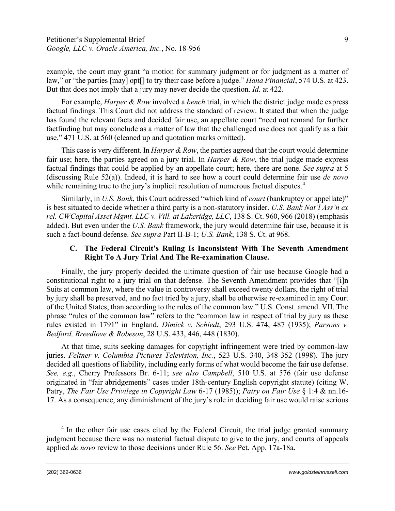example, the court may grant "a motion for summary judgment or for judgment as a matter of law," or "the parties [may] opt[] to try their case before a judge." *Hana Financial*, 574 U.S. at 423. But that does not imply that a jury may never decide the question. *Id.* at 422.

For example, *Harper & Row* involved a *bench* trial, in which the district judge made express factual findings. This Court did not address the standard of review. It stated that when the judge has found the relevant facts and decided fair use, an appellate court "need not remand for further factfinding but may conclude as a matter of law that the challenged use does not qualify as a fair use." 471 U.S. at 560 (cleaned up and quotation marks omitted).

This case is very different. In *Harper & Row*, the parties agreed that the court would determine fair use; here, the parties agreed on a jury trial. In *Harper & Row*, the trial judge made express factual findings that could be applied by an appellate court; here, there are none. *See supra* at 5 (discussing Rule 52(a)). Indeed, it is hard to see how a court could determine fair use *de novo*  while remaining true to the jury's implicit resolution of numerous factual disputes.<sup>[4](#page-8-0)</sup>

Similarly, in *U.S. Bank*, this Court addressed "which kind of *court* (bankruptcy or appellate)" is best situated to decide whether a third party is a non-statutory insider. *U.S. Bank Nat'l Ass'n ex rel. CWCapital Asset Mgmt. LLC v. Vill. at Lakeridge, LLC*, 138 S. Ct. 960, 966 (2018) (emphasis added). But even under the *U.S. Bank* framework, the jury would determine fair use, because it is such a fact-bound defense. *See supra* Part II-B-1; *U.S. Bank*, 138 S. Ct. at 968.

## **C. The Federal Circuit's Ruling Is Inconsistent With The Seventh Amendment Right To A Jury Trial And The Re-examination Clause.**

Finally, the jury properly decided the ultimate question of fair use because Google had a constitutional right to a jury trial on that defense. The Seventh Amendment provides that "[i]n Suits at common law, where the value in controversy shall exceed twenty dollars, the right of trial by jury shall be preserved, and no fact tried by a jury, shall be otherwise re-examined in any Court of the United States, than according to the rules of the common law." U.S. Const. amend. VII. The phrase "rules of the common law" refers to the "common law in respect of trial by jury as these rules existed in 1791" in England. *Dimick v. Schiedt*, 293 U.S. 474, 487 (1935); *Parsons v. Bedford, Breedlove & Robeson*, 28 U.S. 433, 446, 448 (1830).

At that time, suits seeking damages for copyright infringement were tried by common-law juries. *Feltner v. Columbia Pictures Television, Inc.*, 523 U.S. 340, 348-352 (1998). The jury decided all questions of liability, including early forms of what would become the fair use defense. *See, e.g.*, Cherry Professors Br. 6-11; *see also Campbell*, 510 U.S. at 576 (fair use defense originated in "fair abridgements" cases under 18th-century English copyright statute) (citing W. Patry, *The Fair Use Privilege in Copyright Law* 6-17 (1985)); *Patry on Fair Use* § 1:4 & nn.16- 17. As a consequence, any diminishment of the jury's role in deciding fair use would raise serious

<span id="page-8-0"></span> $4$  In the other fair use cases cited by the Federal Circuit, the trial judge granted summary judgment because there was no material factual dispute to give to the jury, and courts of appeals applied *de novo* review to those decisions under Rule 56. *See* Pet. App. 17a-18a.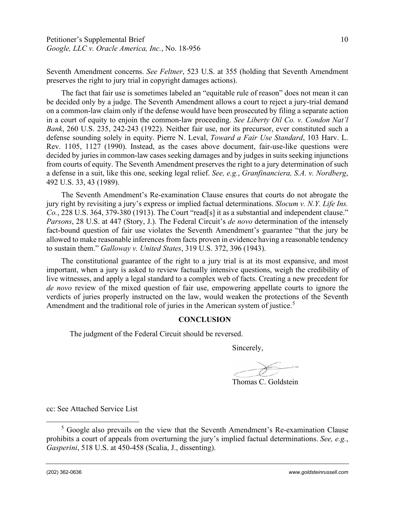Seventh Amendment concerns. *See Feltner*, 523 U.S. at 355 (holding that Seventh Amendment preserves the right to jury trial in copyright damages actions).

The fact that fair use is sometimes labeled an "equitable rule of reason" does not mean it can be decided only by a judge. The Seventh Amendment allows a court to reject a jury-trial demand on a common-law claim only if the defense would have been prosecuted by filing a separate action in a court of equity to enjoin the common-law proceeding. *See Liberty Oil Co. v. Condon Nat'l Bank*, 260 U.S. 235, 242-243 (1922). Neither fair use, nor its precursor, ever constituted such a defense sounding solely in equity. Pierre N. Leval, *Toward a Fair Use Standard*, 103 Harv. L. Rev. 1105, 1127 (1990). Instead, as the cases above document, fair-use-like questions were decided by juries in common-law cases seeking damages and by judges in suits seeking injunctions from courts of equity. The Seventh Amendment preserves the right to a jury determination of such a defense in a suit, like this one, seeking legal relief. *See, e.g.*, *Granfinanciera, S.A. v. Nordberg*, 492 U.S. 33, 43 (1989).

The Seventh Amendment's Re-examination Clause ensures that courts do not abrogate the jury right by revisiting a jury's express or implied factual determinations. *Slocum v. N.Y. Life Ins. Co.*, 228 U.S. 364, 379-380 (1913). The Court "read[s] it as a substantial and independent clause." *Parsons*, 28 U.S. at 447 (Story, J.). The Federal Circuit's *de novo* determination of the intensely fact-bound question of fair use violates the Seventh Amendment's guarantee "that the jury be allowed to make reasonable inferences from facts proven in evidence having a reasonable tendency to sustain them." *Galloway v. United States*, 319 U.S. 372, 396 (1943).

The constitutional guarantee of the right to a jury trial is at its most expansive, and most important, when a jury is asked to review factually intensive questions, weigh the credibility of live witnesses, and apply a legal standard to a complex web of facts. Creating a new precedent for *de novo* review of the mixed question of fair use, empowering appellate courts to ignore the verdicts of juries properly instructed on the law, would weaken the protections of the Seventh Amendment and the traditional role of juries in the American system of justice.<sup>[5](#page-9-0)</sup>

### **CONCLUSION**

The judgment of the Federal Circuit should be reversed.

Sincerely,

Thomas C. Goldstein

cc: See Attached Service List

<span id="page-9-0"></span><sup>5</sup> Google also prevails on the view that the Seventh Amendment's Re-examination Clause prohibits a court of appeals from overturning the jury's implied factual determinations. *See, e.g.*, *Gasperini*, 518 U.S. at 450-458 (Scalia, J., dissenting).